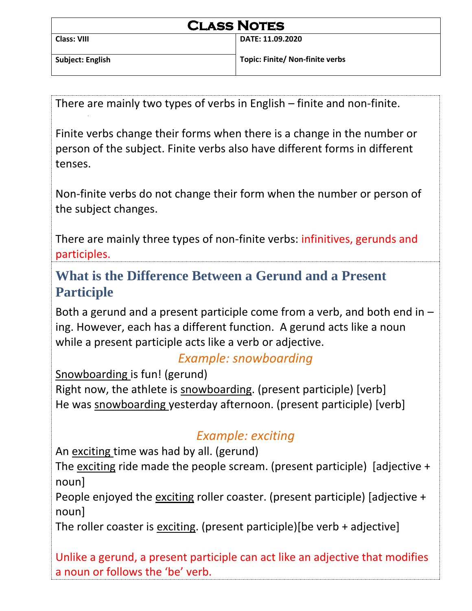| <b>CLASS NOTES</b> |                                 |
|--------------------|---------------------------------|
| Class: VIII        | DATE: 11.09.2020                |
| Subject: English   | Topic: Finite/ Non-finite verbs |

There are mainly two types of verbs in English – finite and non-finite.

Finite verbs change their forms when there is a change in the number or person of the subject. Finite verbs also have different forms in different tenses.

Non-finite verbs do not change their form when the number or person of the subject changes.

There are mainly three types of non-finite verbs: infinitives, gerunds and participles.

**What is the Difference Between a Gerund and a Present Participle**

Both a gerund and a present participle come from a verb, and both end in – ing. However, each has a different function. A gerund acts like a noun while a present participle acts like a verb or adjective.

## *Example: snowboarding*

Snowboarding is fun! (gerund) Right now, the athlete is snowboarding. (present participle) [verb] He was snowboarding yesterday afternoon. (present participle) [verb]

## *Example: exciting*

An exciting time was had by all. (gerund)

The exciting ride made the people scream. (present participle) [adjective + noun]

People enjoyed the exciting roller coaster. (present participle) [adjective + noun]

The roller coaster is exciting. (present participle)[be verb + adjective]

Unlike a gerund, a present participle can act like an adjective that modifies a noun or follows the 'be' verb.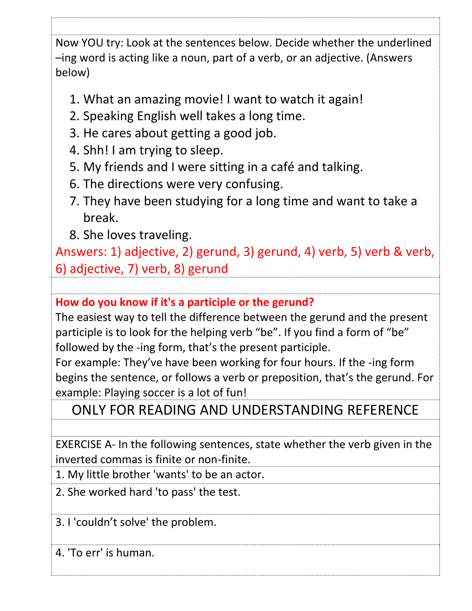Now YOU try: Look at the sentences below. Decide whether the underlined –ing word is acting like a noun, part of a verb, or an adjective. (Answers below)

- 1. What an amazing movie! I want to watch it again!
- 2. Speaking English well takes a long time.
- 3. He cares about getting a good job.
- 4. Shh! I am trying to sleep.
- 5. My friends and I were sitting in a café and talking.
- 6. The directions were very confusing.
- 7. They have been studying for a long time and want to take a break.
- 8. She loves traveling.

Answers: 1) adjective, 2) gerund, 3) gerund, 4) verb, 5) verb & verb, 6) adjective, 7) verb, 8) gerund

**How do you know if it's a participle or the gerund?**

The easiest way to tell the difference between the gerund and the present participle is to look for the helping verb "be". If you find a form of "be" followed by the -ing form, that's the present participle.

For example: They've have been working for four hours. If the -ing form begins the sentence, or follows a verb or preposition, that's the gerund. For example: Playing soccer is a lot of fun!

ONLY FOR READING AND UNDERSTANDING REFERENCE

EXERCISE A- In the following sentences, state whether the verb given in the inverted commas is finite or non-finite.

1. My little brother 'wants' to be an actor.

2. She worked hard 'to pass' the test.

3. I 'couldn't solve' the problem.

4. 'To err' is human.